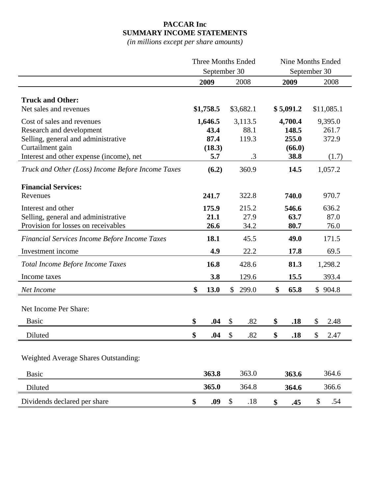## **PACCAR Inc SUMMARY INCOME STATEMENTS**

*(in millions except per share amounts)*

|                                                   | <b>Three Months Ended</b> |                            | <b>Nine Months Ended</b> |    |              |              |            |
|---------------------------------------------------|---------------------------|----------------------------|--------------------------|----|--------------|--------------|------------|
|                                                   | September 30              |                            |                          |    | September 30 |              |            |
|                                                   | 2009                      |                            | 2008                     |    | 2009         |              | 2008       |
|                                                   |                           |                            |                          |    |              |              |            |
| <b>Truck and Other:</b>                           |                           |                            |                          |    |              |              |            |
| Net sales and revenues                            | \$1,758.5                 |                            | \$3,682.1                |    | \$5,091.2    |              | \$11,085.1 |
| Cost of sales and revenues                        | 1,646.5                   |                            | 3,113.5                  |    | 4,700.4      |              | 9,395.0    |
| Research and development                          | 43.4                      |                            | 88.1                     |    | 148.5        |              | 261.7      |
| Selling, general and administrative               | 87.4                      |                            | 119.3                    |    | 255.0        |              | 372.9      |
| Curtailment gain                                  | (18.3)                    |                            |                          |    | (66.0)       |              |            |
| Interest and other expense (income), net          | 5.7                       |                            | .3                       |    | 38.8         |              | (1.7)      |
| Truck and Other (Loss) Income Before Income Taxes | (6.2)                     |                            | 360.9                    |    | 14.5         |              | 1,057.2    |
| <b>Financial Services:</b>                        |                           |                            |                          |    |              |              |            |
| Revenues                                          | 241.7                     |                            | 322.8                    |    | 740.0        |              | 970.7      |
| Interest and other                                | 175.9                     |                            | 215.2                    |    | 546.6        |              | 636.2      |
| Selling, general and administrative               | 21.1                      |                            | 27.9                     |    | 63.7         |              | 87.0       |
| Provision for losses on receivables               | 26.6                      |                            | 34.2                     |    | 80.7         |              | 76.0       |
| Financial Services Income Before Income Taxes     | 18.1                      |                            | 45.5                     |    | 49.0         |              | 171.5      |
| Investment income                                 | 4.9                       |                            | 22.2                     |    | 17.8         |              | 69.5       |
| Total Income Before Income Taxes                  | 16.8                      |                            | 428.6                    |    | 81.3         |              | 1,298.2    |
| Income taxes                                      | 3.8                       |                            | 129.6                    |    | 15.5         |              | 393.4      |
| Net Income                                        | \$<br>13.0                | $\mathbb{S}^-$             | 299.0                    | \$ | 65.8         |              | \$904.8    |
|                                                   |                           |                            |                          |    |              |              |            |
| Net Income Per Share:                             |                           |                            |                          |    |              |              |            |
| <b>Basic</b>                                      | \$<br>.04                 | \$                         | .82                      | \$ | .18          | \$           | 2.48       |
| Diluted                                           | \$<br>.04                 | $\mathcal{S}$              | .82                      | \$ | .18          | $\mathbb{S}$ | 2.47       |
|                                                   |                           |                            |                          |    |              |              |            |
| <b>Weighted Average Shares Outstanding:</b>       |                           |                            |                          |    |              |              |            |
| <b>Basic</b>                                      | 363.8                     |                            | 363.0                    |    | 363.6        |              | 364.6      |
| Diluted                                           | 365.0                     |                            | 364.8                    |    | 364.6        |              | 366.6      |
| Dividends declared per share                      | \$<br>.09                 | $\boldsymbol{\mathsf{\$}}$ | .18                      | \$ | .45          | \$           | .54        |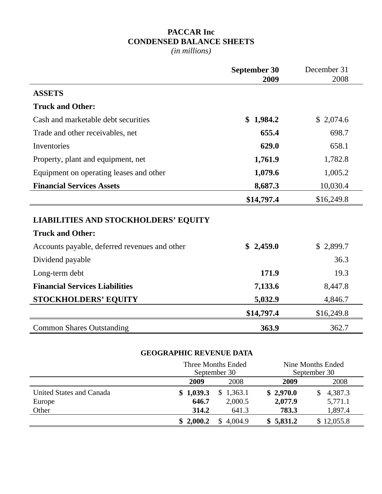## **PACCAR Inc CONDENSED BALANCE SHEETS**

*(in millions)*

|                                               | <b>September 30</b><br>2009 | December 31<br>2008 |
|-----------------------------------------------|-----------------------------|---------------------|
| <b>ASSETS</b>                                 |                             |                     |
| <b>Truck and Other:</b>                       |                             |                     |
| Cash and marketable debt securities           | \$1,984.2                   | \$2,074.6           |
| Trade and other receivables, net              | 655.4                       | 698.7               |
| Inventories                                   | 629.0                       | 658.1               |
| Property, plant and equipment, net            | 1,761.9                     | 1,782.8             |
| Equipment on operating leases and other       | 1,079.6                     | 1,005.2             |
| <b>Financial Services Assets</b>              | 8,687.3                     | 10,030.4            |
|                                               | \$14,797.4                  | \$16,249.8          |
| <b>LIABILITIES AND STOCKHOLDERS' EQUITY</b>   |                             |                     |
| <b>Truck and Other:</b>                       |                             |                     |
| Accounts payable, deferred revenues and other | \$2,459.0                   | \$2,899.7           |
| Dividend payable                              |                             | 36.3                |
| Long-term debt                                | 171.9                       | 19.3                |
| <b>Financial Services Liabilities</b>         | 7,133.6                     | 8,447.8             |
| <b>STOCKHOLDERS' EQUITY</b>                   | 5,032.9                     | 4,846.7             |
|                                               | \$14,797.4                  | \$16,249.8          |
| <b>Common Shares Outstanding</b>              | 363.9                       | 362.7               |

## **GEOGRAPHIC REVENUE DATA**

|                          | Three Months Ended<br>September 30 |               |           | Nine Months Ended<br>September 30 |
|--------------------------|------------------------------------|---------------|-----------|-----------------------------------|
|                          | 2009                               | 2008          | 2009      | 2008                              |
| United States and Canada | \$1,039.3                          | 1,363.1<br>\$ | \$2,970.0 | 4,387.3<br>S                      |
| Europe                   | 646.7                              | 2,000.5       | 2,077.9   | 5,771.1                           |
| Other                    | 314.2                              | 641.3         | 783.3     | 1,897.4                           |
|                          | \$2,000.2                          | 4.004.9       | \$5,831.2 | 12,055.8                          |